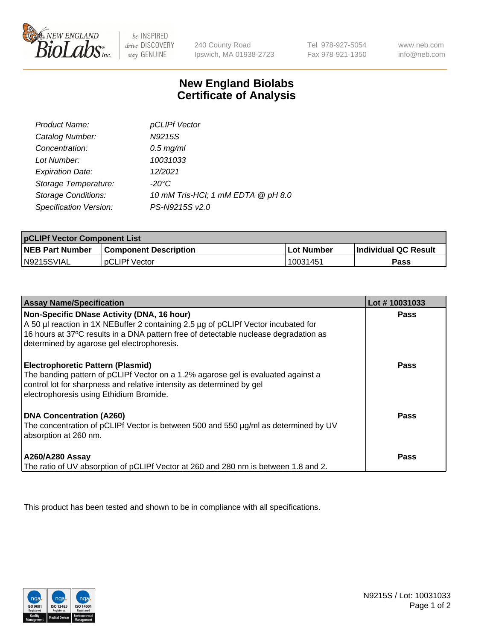

 $be$  INSPIRED drive DISCOVERY stay GENUINE

240 County Road Ipswich, MA 01938-2723 Tel 978-927-5054 Fax 978-921-1350 www.neb.com info@neb.com

## **New England Biolabs Certificate of Analysis**

| Product Name:              | pCLIPf Vector                      |
|----------------------------|------------------------------------|
| Catalog Number:            | N9215S                             |
| Concentration:             | $0.5$ mg/ml                        |
| Lot Number:                | 10031033                           |
| <b>Expiration Date:</b>    | 12/2021                            |
| Storage Temperature:       | $-20^{\circ}$ C                    |
| <b>Storage Conditions:</b> | 10 mM Tris-HCl; 1 mM EDTA @ pH 8.0 |
| Specification Version:     | PS-N9215S v2.0                     |

| <b>pCLIPf Vector Component List</b> |                              |            |                             |  |
|-------------------------------------|------------------------------|------------|-----------------------------|--|
| <b>NEB Part Number</b>              | <b>Component Description</b> | Lot Number | <b>Individual QC Result</b> |  |
| IN9215SVIAL                         | <b>pCLIPf Vector</b>         | 10031451   | <b>Pass</b>                 |  |

| <b>Assay Name/Specification</b>                                                                                                                                                                                                                   | Lot #10031033 |
|---------------------------------------------------------------------------------------------------------------------------------------------------------------------------------------------------------------------------------------------------|---------------|
| Non-Specific DNase Activity (DNA, 16 hour)<br>A 50 µl reaction in 1X NEBuffer 2 containing 2.5 µg of pCLIPf Vector incubated for                                                                                                                  | Pass          |
| 16 hours at 37°C results in a DNA pattern free of detectable nuclease degradation as<br>determined by agarose gel electrophoresis.                                                                                                                |               |
| <b>Electrophoretic Pattern (Plasmid)</b><br>The banding pattern of pCLIPf Vector on a 1.2% agarose gel is evaluated against a<br>control lot for sharpness and relative intensity as determined by gel<br>electrophoresis using Ethidium Bromide. | <b>Pass</b>   |
| DNA Concentration (A260)<br>The concentration of pCLIPf Vector is between 500 and 550 µg/ml as determined by UV<br>absorption at 260 nm.                                                                                                          | <b>Pass</b>   |
| <b>A260/A280 Assay</b><br>The ratio of UV absorption of pCLIPf Vector at 260 and 280 nm is between 1.8 and 2.                                                                                                                                     | Pass          |

This product has been tested and shown to be in compliance with all specifications.